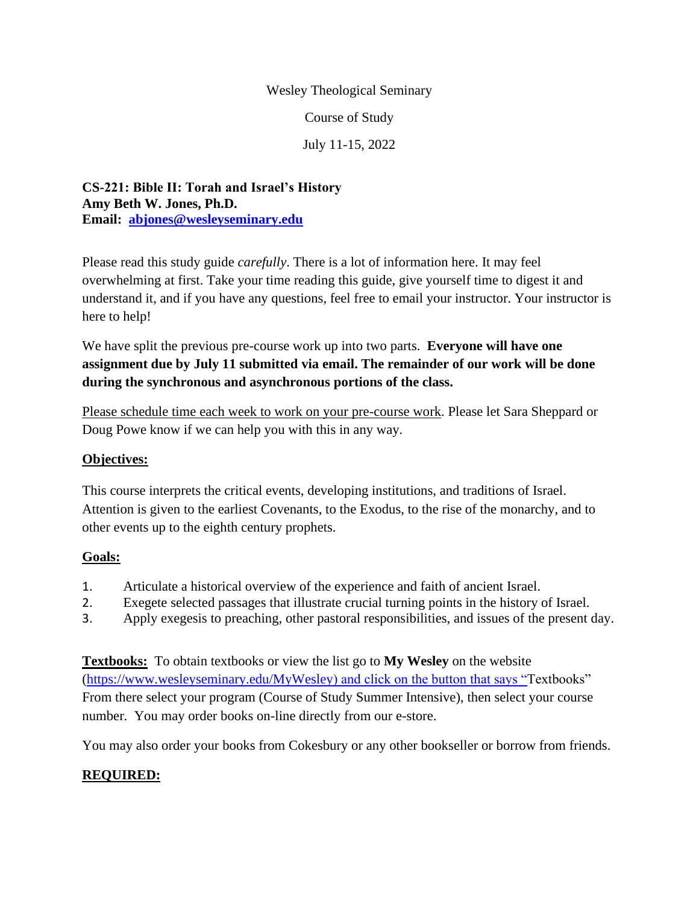#### Wesley Theological Seminary

Course of Study

July 11-15, 2022

**CS-221: Bible II: Torah and Israel's History Amy Beth W. Jones, Ph.D. Email: [abjones@wesleyseminary.edu](mailto:abjones@wesleyseminary.edu)**

Please read this study guide *carefully*. There is a lot of information here. It may feel overwhelming at first. Take your time reading this guide, give yourself time to digest it and understand it, and if you have any questions, feel free to email your instructor. Your instructor is here to help!

We have split the previous pre-course work up into two parts. **Everyone will have one assignment due by July 11 submitted via email. The remainder of our work will be done during the synchronous and asynchronous portions of the class.**

Please schedule time each week to work on your pre-course work. Please let Sara Sheppard or Doug Powe know if we can help you with this in any way.

### **Objectives:**

This course interprets the critical events, developing institutions, and traditions of Israel. Attention is given to the earliest Covenants, to the Exodus, to the rise of the monarchy, and to other events up to the eighth century prophets.

### **Goals:**

- 1. Articulate a historical overview of the experience and faith of ancient Israel.
- 2. Exegete selected passages that illustrate crucial turning points in the history of Israel.
- 3. Apply exegesis to preaching, other pastoral responsibilities, and issues of the present day.

**Textbooks:** To obtain textbooks or view the list go to **My Wesley** on the website [\(https://www.wesleyseminary.edu/MyWesley\)](https://www.wesleyseminary.edu/MyWesley) and click on the button that says "Textbooks" From there select your program (Course of Study Summer Intensive), then select your course number. You may order books on-line directly from our e-store.

You may also order your books from Cokesbury or any other bookseller or borrow from friends.

### **REQUIRED:**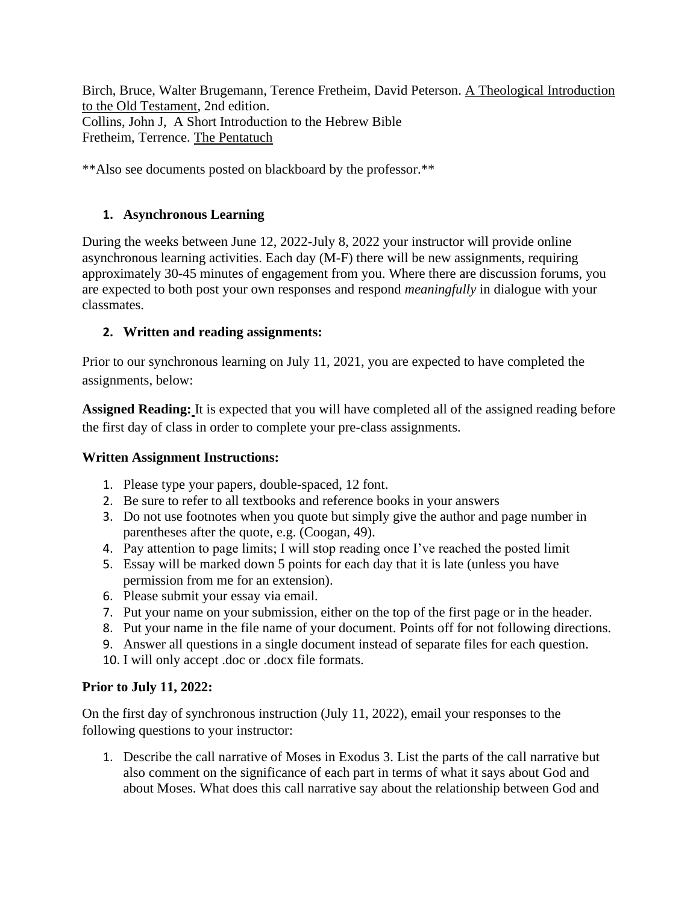Birch, Bruce, Walter Brugemann, Terence Fretheim, David Peterson. A Theological Introduction to the Old Testament, 2nd edition. Collins, John J, A Short Introduction to the Hebrew Bible Fretheim, Terrence. The Pentatuch

\*\*Also see documents posted on blackboard by the professor.\*\*

## **1. Asynchronous Learning**

During the weeks between June 12, 2022-July 8, 2022 your instructor will provide online asynchronous learning activities. Each day (M-F) there will be new assignments, requiring approximately 30-45 minutes of engagement from you. Where there are discussion forums, you are expected to both post your own responses and respond *meaningfully* in dialogue with your classmates.

# **2. Written and reading assignments:**

Prior to our synchronous learning on July 11, 2021, you are expected to have completed the assignments, below:

**Assigned Reading:** It is expected that you will have completed all of the assigned reading before the first day of class in order to complete your pre-class assignments.

### **Written Assignment Instructions:**

- 1. Please type your papers, double-spaced, 12 font.
- 2. Be sure to refer to all textbooks and reference books in your answers
- 3. Do not use footnotes when you quote but simply give the author and page number in parentheses after the quote, e.g. (Coogan, 49).
- 4. Pay attention to page limits; I will stop reading once I've reached the posted limit
- 5. Essay will be marked down 5 points for each day that it is late (unless you have permission from me for an extension).
- 6. Please submit your essay via email.
- 7. Put your name on your submission, either on the top of the first page or in the header.
- 8. Put your name in the file name of your document. Points off for not following directions.
- 9. Answer all questions in a single document instead of separate files for each question.
- 10. I will only accept .doc or .docx file formats.

# **Prior to July 11, 2022:**

On the first day of synchronous instruction (July 11, 2022), email your responses to the following questions to your instructor:

1. Describe the call narrative of Moses in Exodus 3. List the parts of the call narrative but also comment on the significance of each part in terms of what it says about God and about Moses. What does this call narrative say about the relationship between God and